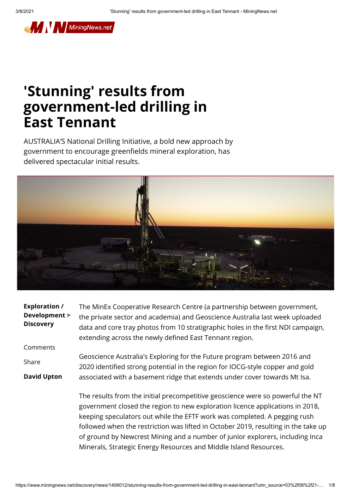

## **'Stunning' results from government-led drilling in East Tennant**

AUSTRALIA'S National Drilling Initiative, a bold new approach by government to encourage greenfields mineral exploration, has delivered spectacular initial results.



| <b>Exploration /</b><br>Development ><br><b>Discovery</b> | The MinEx Cooperative Research Centre (a partnership between government,<br>the private sector and academia) and Geoscience Australia last week uploaded<br>data and core tray photos from 10 stratigraphic holes in the first NDI campaign,<br>extending across the newly defined East Tennant region.                            |
|-----------------------------------------------------------|------------------------------------------------------------------------------------------------------------------------------------------------------------------------------------------------------------------------------------------------------------------------------------------------------------------------------------|
| Comments                                                  |                                                                                                                                                                                                                                                                                                                                    |
| Share                                                     | Geoscience Australia's Exploring for the Future program between 2016 and<br>2020 identified strong potential in the region for IOCG-style copper and gold                                                                                                                                                                          |
| <b>David Upton</b>                                        | associated with a basement ridge that extends under cover towards Mt Isa.                                                                                                                                                                                                                                                          |
|                                                           | The results from the initial precompetitive geoscience were so powerful the NT<br>government closed the region to new exploration licence applications in 2018,<br>keeping speculators out while the EFTF work was completed. A pegging rush<br>followed when the restriction was lifted in October 2019, resulting in the take up |

https://www.miningnews.net/discovery/news/1406012/stunning-results-from-government-led-drilling-in-east-tennant?utm\_source=03%2f08%2f21-… 1/8

Minerals, Strategic Energy Resources and Middle Island Resources.

of ground by Newcrest Mining and a number of junior explorers, including Inca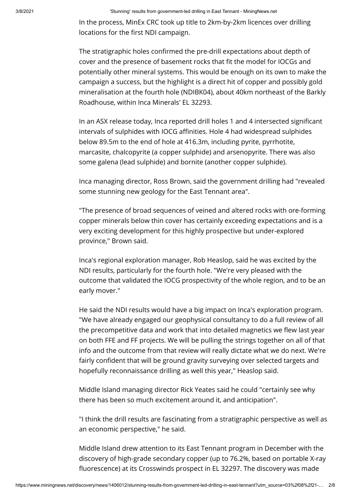In the process, MinEx CRC took up title to 2km-by-2km licences over drilling locations for the first NDI campaign.

The stratigraphic holes confirmed the pre-drill expectations about depth of cover and the presence of basement rocks that fit the model for IOCGs and potentially other mineral systems. This would be enough on its own to make the campaign a success, but the highlight is a direct hit of copper and possibly gold mineralisation at the fourth hole (NDIBK04), about 40km northeast of the Barkly Roadhouse, within Inca Minerals' EL 32293.

In an ASX release today, Inca reported drill holes 1 and 4 intersected signicant intervals of sulphides with IOCG affinities. Hole 4 had widespread sulphides below 89.5m to the end of hole at 416.3m, including pyrite, pyrrhotite, marcasite, chalcopyrite (a copper sulphide) and arsenopyrite. There was also some galena (lead sulphide) and bornite (another copper sulphide).

Inca managing director, Ross Brown, said the government drilling had "revealed some stunning new geology for the East Tennant area".

"The presence of broad sequences of veined and altered rocks with ore-forming copper minerals below thin cover has certainly exceeding expectations and is a very exciting development for this highly prospective but under-explored province," Brown said.

Inca's regional exploration manager, Rob Heaslop, said he was excited by the NDI results, particularly for the fourth hole. "We're very pleased with the outcome that validated the IOCG prospectivity of the whole region, and to be an early mover."

He said the NDI results would have a big impact on Inca's exploration program. "We have already engaged our geophysical consultancy to do a full review of all the precompetitive data and work that into detailed magnetics we flew last year on both FFE and FF projects. We will be pulling the strings together on all of that info and the outcome from that review will really dictate what we do next. We're fairly confident that will be ground gravity surveying over selected targets and hopefully reconnaissance drilling as well this year," Heaslop said.

Middle Island managing director Rick Yeates said he could "certainly see why there has been so much excitement around it, and anticipation".

"I think the drill results are fascinating from a stratigraphic perspective as well as an economic perspective," he said.

Middle Island drew attention to its East Tennant program in December with the discovery of high-grade secondary copper (up to 76.2%, based on portable X-ray fluorescence) at its Crosswinds prospect in EL 32297. The discovery was made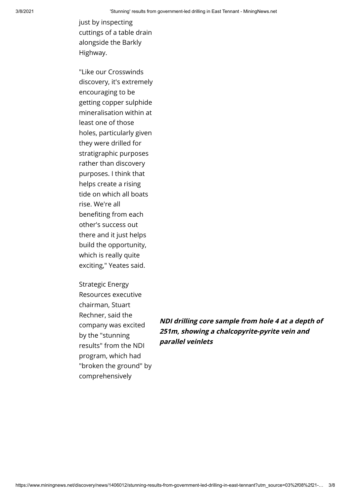just by inspecting cuttings of a table drain alongside the Barkly Highway.

"Like our Crosswinds discovery, it's extremely encouraging to be getting copper sulphide mineralisation within at least one of those holes, particularly given they were drilled for stratigraphic purposes rather than discovery purposes. I think that helps create a rising tide on which all boats rise. We're all benefiting from each other's success out there and it just helps build the opportunity, which is really quite exciting," Yeates said.

Strategic Energy Resources executive chairman, Stuart Rechner, said the company was excited by the "stunning results" from the NDI program, which had "broken the ground" by comprehensively

**NDI drilling core sample from hole 4 at a depth of 251m, showing a chalcopyrite-pyrite vein and parallel veinlets**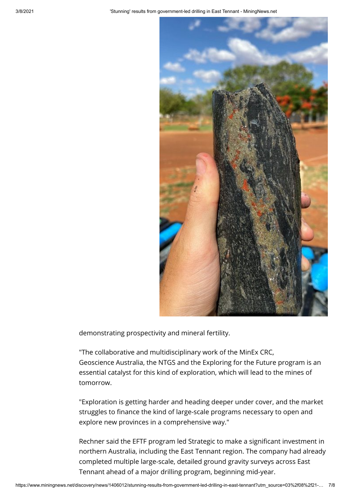

demonstrating prospectivity and mineral fertility.

"The collaborative and multidisciplinary work of the MinEx CRC, Geoscience Australia, the NTGS and the Exploring for the Future program is an essential catalyst for this kind of exploration, which will lead to the mines of tomorrow.

"Exploration is getting harder and heading deeper under cover, and the market struggles to finance the kind of large-scale programs necessary to open and explore new provinces in a comprehensive way."

Rechner said the EFTF program led Strategic to make a significant investment in northern Australia, including the East Tennant region. The company had already completed multiple large-scale, detailed ground gravity surveys across East Tennant ahead of a major drilling program, beginning mid-year.